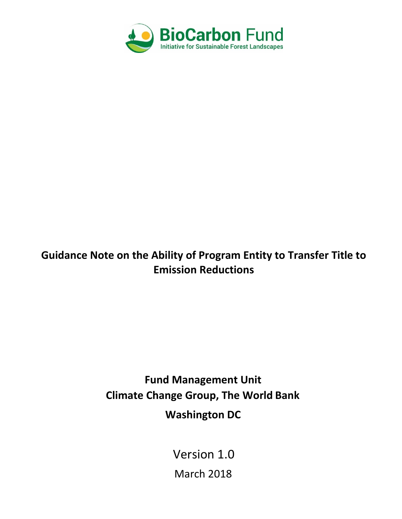

# **Guidance Note on the Ability of Program Entity to Transfer Title to Emission Reductions**

**Fund Management Unit Climate Change Group, The World Bank Washington DC**

Version 1.0

March 2018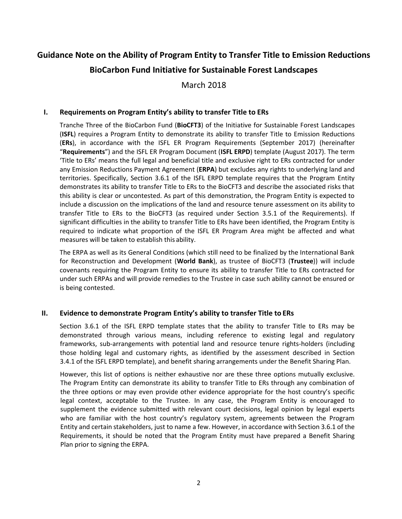# **Guidance Note on the Ability of Program Entity to Transfer Title to Emission Reductions BioCarbon Fund Initiative for Sustainable Forest Landscapes**

March 2018

### **I. Requirements on Program Entity's ability to transfer Title to ERs**

Tranche Three of the BioCarbon Fund (**BioCFT3**) of the Initiative for Sustainable Forest Landscapes (**ISFL**) requires a Program Entity to demonstrate its ability to transfer Title to Emission Reductions (**ERs**), in accordance with the ISFL ER Program Requirements (September 2017) (hereinafter "**Requirements**") and the ISFL ER Program Document (**ISFL ERPD**) template (August 2017). The term 'Title to ERs' means the full legal and beneficial title and exclusive right to ERs contracted for under any Emission Reductions Payment Agreement (**ERPA**) but excludes any rights to underlying land and territories. Specifically, Section 3.6.1 of the ISFL ERPD template requires that the Program Entity demonstrates its ability to transfer Title to ERs to the BioCFT3 and describe the associated risks that this ability is clear or uncontested. As part of this demonstration, the Program Entity is expected to include a discussion on the implications of the land and resource tenure assessment on its ability to transfer Title to ERs to the BioCFT3 (as required under Section 3.5.1 of the Requirements). If significant difficulties in the ability to transfer Title to ERs have been identified, the Program Entity is required to indicate what proportion of the ISFL ER Program Area might be affected and what measures will be taken to establish this ability.

The ERPA as well as its General Conditions (which still need to be finalized by the International Bank for Reconstruction and Development (**World Bank**), as trustee of BioCFT3 (**Trustee**)) will include covenants requiring the Program Entity to ensure its ability to transfer Title to ERs contracted for under such ERPAs and will provide remedies to the Trustee in case such ability cannot be ensured or is being contested.

#### **II. Evidence to demonstrate Program Entity's ability to transfer Title to ERs**

Section 3.6.1 of the ISFL ERPD template states that the ability to transfer Title to ERs may be demonstrated through various means, including reference to existing legal and regulatory frameworks, sub-arrangements with potential land and resource tenure rights-holders (including those holding legal and customary rights, as identified by the assessment described in Section 3.4.1 of the ISFL ERPD template), and benefit sharing arrangements under the Benefit Sharing Plan.

However, this list of options is neither exhaustive nor are these three options mutually exclusive. The Program Entity can demonstrate its ability to transfer Title to ERs through any combination of the three options or may even provide other evidence appropriate for the host country's specific legal context, acceptable to the Trustee. In any case, the Program Entity is encouraged to supplement the evidence submitted with relevant court decisions, legal opinion by legal experts who are familiar with the host country's regulatory system, agreements between the Program Entity and certain stakeholders, just to name a few. However, in accordance with Section 3.6.1 of the Requirements, it should be noted that the Program Entity must have prepared a Benefit Sharing Plan prior to signing the ERPA.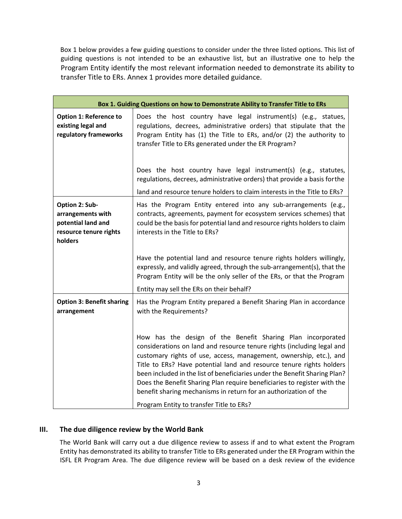Box 1 below provides a few guiding questions to consider under the three listed options. This list of guiding questions is not intended to be an exhaustive list, but an illustrative one to help the Program Entity identify the most relevant information needed to demonstrate its ability to transfer Title to ERs. Annex 1 provides more detailed guidance.

|                                                                                                | Box 1. Guiding Questions on how to Demonstrate Ability to Transfer Title to ERs                                                                                                                                                                                                                                                                                                                                                                                                                                                                               |
|------------------------------------------------------------------------------------------------|---------------------------------------------------------------------------------------------------------------------------------------------------------------------------------------------------------------------------------------------------------------------------------------------------------------------------------------------------------------------------------------------------------------------------------------------------------------------------------------------------------------------------------------------------------------|
| <b>Option 1: Reference to</b><br>existing legal and<br>regulatory frameworks                   | Does the host country have legal instrument(s) (e.g., statues,<br>regulations, decrees, administrative orders) that stipulate that the<br>Program Entity has (1) the Title to ERs, and/or (2) the authority to<br>transfer Title to ERs generated under the ER Program?                                                                                                                                                                                                                                                                                       |
|                                                                                                | Does the host country have legal instrument(s) (e.g., statutes,<br>regulations, decrees, administrative orders) that provide a basis for the                                                                                                                                                                                                                                                                                                                                                                                                                  |
|                                                                                                | land and resource tenure holders to claim interests in the Title to ERs?                                                                                                                                                                                                                                                                                                                                                                                                                                                                                      |
| Option 2: Sub-<br>arrangements with<br>potential land and<br>resource tenure rights<br>holders | Has the Program Entity entered into any sub-arrangements (e.g.,<br>contracts, agreements, payment for ecosystem services schemes) that<br>could be the basis for potential land and resource rights holders to claim<br>interests in the Title to ERs?                                                                                                                                                                                                                                                                                                        |
|                                                                                                | Have the potential land and resource tenure rights holders willingly,<br>expressly, and validly agreed, through the sub-arrangement(s), that the<br>Program Entity will be the only seller of the ERs, or that the Program                                                                                                                                                                                                                                                                                                                                    |
|                                                                                                | Entity may sell the ERs on their behalf?                                                                                                                                                                                                                                                                                                                                                                                                                                                                                                                      |
| <b>Option 3: Benefit sharing</b><br>arrangement                                                | Has the Program Entity prepared a Benefit Sharing Plan in accordance<br>with the Requirements?                                                                                                                                                                                                                                                                                                                                                                                                                                                                |
|                                                                                                | How has the design of the Benefit Sharing Plan incorporated<br>considerations on land and resource tenure rights (including legal and<br>customary rights of use, access, management, ownership, etc.), and<br>Title to ERs? Have potential land and resource tenure rights holders<br>been included in the list of beneficiaries under the Benefit Sharing Plan?<br>Does the Benefit Sharing Plan require beneficiaries to register with the<br>benefit sharing mechanisms in return for an authorization of the<br>Program Entity to transfer Title to ERs? |

## **III. The due diligence review by the World Bank**

The World Bank will carry out a due diligence review to assess if and to what extent the Program Entity has demonstrated its ability to transfer Title to ERs generated under the ER Program within the ISFL ER Program Area. The due diligence review will be based on a desk review of the evidence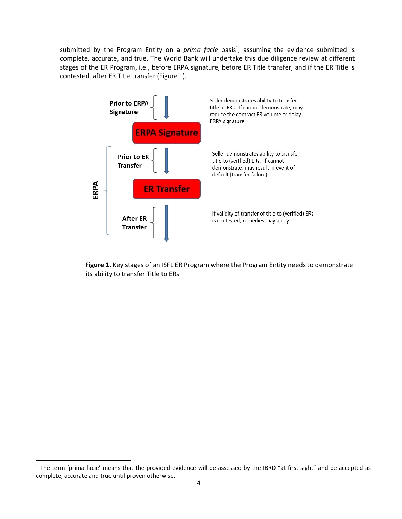submitted by the Program Entity on a *prima facie* basis<sup>1</sup>, assuming the evidence submitted is complete, accurate, and true. The World Bank will undertake this due diligence review at different stages of the ER Program, i.e., before ERPA signature, before ER Title transfer, and if the ER Title is contested, after ER Title transfer (Figure 1).



**Figure 1.** Key stages of an ISFL ER Program where the Program Entity needs to demonstrate its ability to transfer Title to ERs

 $1$  The term 'prima facie' means that the provided evidence will be assessed by the IBRD "at first sight" and be accepted as complete, accurate and true until proven otherwise.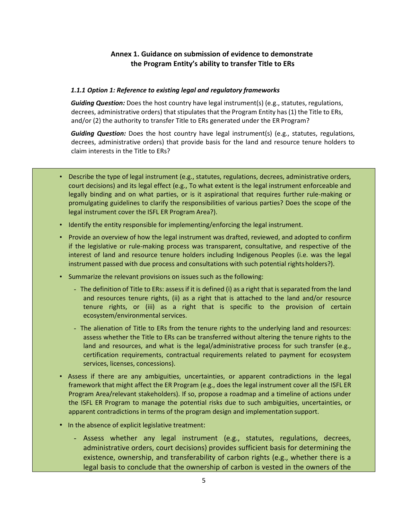# **Annex 1. Guidance on submission of evidence to demonstrate the Program Entity's ability to transfer Title to ERs**

#### *1.1.1 Option 1: Reference to existing legal and regulatory frameworks*

*Guiding Question:* Does the host country have legal instrument(s) (e.g., statutes, regulations, decrees, administrative orders) that stipulates that the Program Entity has(1) the Title to ERs, and/or (2) the authority to transfer Title to ERs generated under the ER Program?

*Guiding Question:* Does the host country have legal instrument(s) (e.g., statutes, regulations, decrees, administrative orders) that provide basis for the land and resource tenure holders to claim interests in the Title to ERs?

- Describe the type of legal instrument (e.g., statutes, regulations, decrees, administrative orders, court decisions) and its legal effect (e.g., To what extent is the legal instrument enforceable and legally binding and on what parties, or is it aspirational that requires further rule-making or promulgating guidelines to clarify the responsibilities of various parties? Does the scope of the legal instrument cover the ISFL ER Program Area?).
- Identify the entity responsible for implementing/enforcing the legal instrument.
- Provide an overview of how the legal instrument was drafted, reviewed, and adopted to confirm if the legislative or rule-making process was transparent, consultative, and respective of the interest of land and resource tenure holders including Indigenous Peoples (i.e. was the legal instrument passed with due process and consultations with such potential rightsholders?).
- Summarize the relevant provisions on issues such as the following:
	- The definition of Title to ERs: assess if it is defined (i) as a right that is separated from the land and resources tenure rights, (ii) as a right that is attached to the land and/or resource tenure rights, or (iii) as a right that is specific to the provision of certain ecosystem/environmental services.
	- The alienation of Title to ERs from the tenure rights to the underlying land and resources: assess whether the Title to ERs can be transferred without altering the tenure rights to the land and resources, and what is the legal/administrative process for such transfer (e.g., certification requirements, contractual requirements related to payment for ecosystem services, licenses, concessions).
- Assess if there are any ambiguities, uncertainties, or apparent contradictions in the legal framework that might affect the ER Program (e.g., does the legal instrument cover all the ISFL ER Program Area/relevant stakeholders). If so, propose a roadmap and a timeline of actions under the ISFL ER Program to manage the potential risks due to such ambiguities, uncertainties, or apparent contradictions in terms of the program design and implementation support.
- In the absence of explicit legislative treatment:
	- Assess whether any legal instrument (e.g., statutes, regulations, decrees, administrative orders, court decisions) provides sufficient basis for determining the existence, ownership, and transferability of carbon rights (e.g., whether there is a legal basis to conclude that the ownership of carbon is vested in the owners of the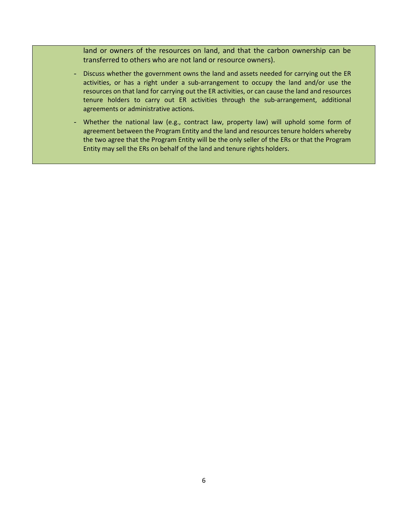land or owners of the resources on land, and that the carbon ownership can be transferred to others who are not land or resource owners).

- Discuss whether the government owns the land and assets needed for carrying out the ER activities, or has a right under a sub-arrangement to occupy the land and/or use the resources on that land for carrying out the ER activities, or can cause the land and resources tenure holders to carry out ER activities through the sub-arrangement, additional agreements or administrative actions.
- Whether the national law (e.g., contract law, property law) will uphold some form of agreement between the Program Entity and the land and resources tenure holders whereby the two agree that the Program Entity will be the only seller of the ERs or that the Program Entity may sell the ERs on behalf of the land and tenure rights holders.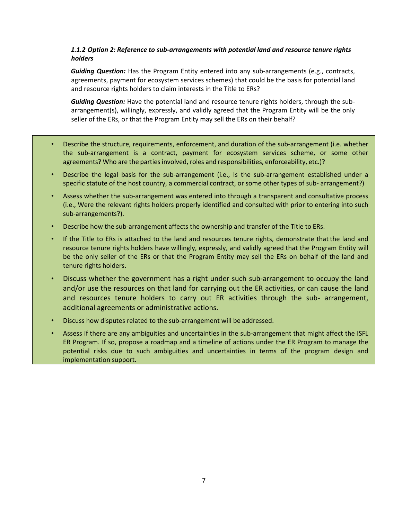## *1.1.2 Option 2: Reference to sub-arrangements with potential land and resource tenure rights holders*

*Guiding Question:* Has the Program Entity entered into any sub-arrangements (e.g., contracts, agreements, payment for ecosystem services schemes) that could be the basis for potential land and resource rights holders to claim interests in the Title to ERs?

*Guiding Question:* Have the potential land and resource tenure rights holders, through the subarrangement(s), willingly, expressly, and validly agreed that the Program Entity will be the only seller of the ERs, or that the Program Entity may sell the ERs on their behalf?

- Describe the structure, requirements, enforcement, and duration of the sub-arrangement (i.e. whether the sub-arrangement is a contract, payment for ecosystem services scheme, or some other agreements? Who are the parties involved, roles and responsibilities, enforceability, etc.)?
- Describe the legal basis for the sub-arrangement (i.e., Is the sub-arrangement established under a specific statute of the host country, a commercial contract, or some other types of sub- arrangement?)
- Assess whether the sub-arrangement was entered into through a transparent and consultative process (i.e., Were the relevant rights holders properly identified and consulted with prior to entering into such sub-arrangements?).
- Describe how the sub-arrangement affects the ownership and transfer of the Title to ERs.
- If the Title to ERs is attached to the land and resources tenure rights, demonstrate that the land and resource tenure rights holders have willingly, expressly, and validly agreed that the Program Entity will be the only seller of the ERs or that the Program Entity may sell the ERs on behalf of the land and tenure rights holders.
- Discuss whether the government has a right under such sub-arrangement to occupy the land and/or use the resources on that land for carrying out the ER activities, or can cause the land and resources tenure holders to carry out ER activities through the sub- arrangement, additional agreements or administrative actions.
- Discuss how disputes related to the sub-arrangement will be addressed.
- Assess if there are any ambiguities and uncertainties in the sub-arrangement that might affect the ISFL ER Program. If so, propose a roadmap and a timeline of actions under the ER Program to manage the potential risks due to such ambiguities and uncertainties in terms of the program design and implementation support.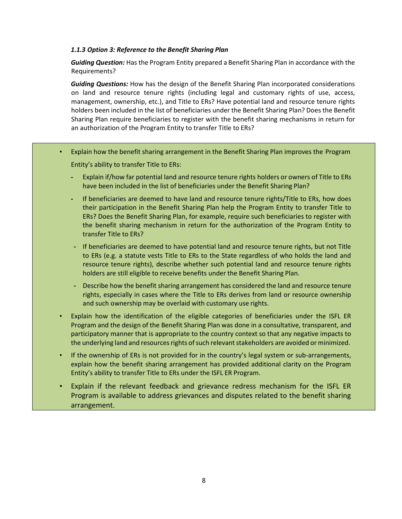#### *1.1.3 Option 3: Reference to the Benefit Sharing Plan*

*Guiding Question:* Has the Program Entity prepared a Benefit Sharing Plan in accordance with the Requirements?

*Guiding Questions:* How has the design of the Benefit Sharing Plan incorporated considerations on land and resource tenure rights (including legal and customary rights of use, access, management, ownership, etc.), and Title to ERs? Have potential land and resource tenure rights holders been included in the list of beneficiaries under the Benefit Sharing Plan? Does the Benefit Sharing Plan require beneficiaries to register with the benefit sharing mechanisms in return for an authorization of the Program Entity to transfer Title to ERs?

- Explain how the benefit sharing arrangement in the Benefit Sharing Plan improves the Program Entity's ability to transfer Title to ERs:
	- **-** Explain if/how far potential land and resource tenure rights holders or owners of Title to ERs have been included in the list of beneficiaries under the Benefit Sharing Plan?
	- **-** If beneficiaries are deemed to have land and resource tenure rights/Title to ERs, how does their participation in the Benefit Sharing Plan help the Program Entity to transfer Title to ERs? Does the Benefit Sharing Plan, for example, require such beneficiaries to register with the benefit sharing mechanism in return for the authorization of the Program Entity to transfer Title to ERs?
	- **-** If beneficiaries are deemed to have potential land and resource tenure rights, but not Title to ERs (e.g. a statute vests Title to ERs to the State regardless of who holds the land and resource tenure rights), describe whether such potential land and resource tenure rights holders are still eligible to receive benefits under the Benefit Sharing Plan.
	- **-** Describe how the benefit sharing arrangement has considered the land and resource tenure rights, especially in cases where the Title to ERs derives from land or resource ownership and such ownership may be overlaid with customary use rights.
- Explain how the identification of the eligible categories of beneficiaries under the ISFL ER Program and the design of the Benefit Sharing Plan was done in a consultative, transparent, and participatory manner that is appropriate to the country context so that any negative impacts to the underlying land and resources rights of such relevant stakeholders are avoided or minimized.
- If the ownership of ERs is not provided for in the country's legal system or sub-arrangements, explain how the benefit sharing arrangement has provided additional clarity on the Program Entity's ability to transfer Title to ERs under the ISFL ER Program.
- Explain if the relevant feedback and grievance redress mechanism for the ISFL ER Program is available to address grievances and disputes related to the benefit sharing arrangement.